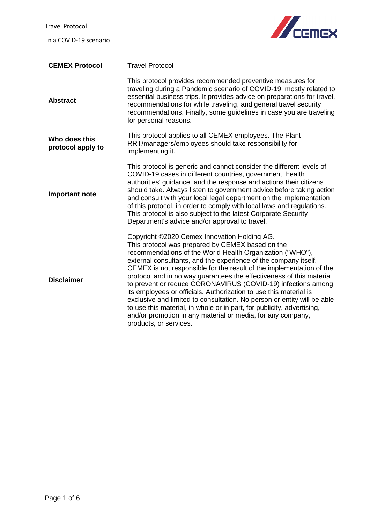

| <b>CEMEX Protocol</b>              | <b>Travel Protocol</b>                                                                                                                                                                                                                                                                                                                                                                                                                                                                                                                                                                                                                                                                                                                                              |
|------------------------------------|---------------------------------------------------------------------------------------------------------------------------------------------------------------------------------------------------------------------------------------------------------------------------------------------------------------------------------------------------------------------------------------------------------------------------------------------------------------------------------------------------------------------------------------------------------------------------------------------------------------------------------------------------------------------------------------------------------------------------------------------------------------------|
| <b>Abstract</b>                    | This protocol provides recommended preventive measures for<br>traveling during a Pandemic scenario of COVID-19, mostly related to<br>essential business trips. It provides advice on preparations for travel,<br>recommendations for while traveling, and general travel security<br>recommendations. Finally, some guidelines in case you are traveling<br>for personal reasons.                                                                                                                                                                                                                                                                                                                                                                                   |
| Who does this<br>protocol apply to | This protocol applies to all CEMEX employees. The Plant<br>RRT/managers/employees should take responsibility for<br>implementing it.                                                                                                                                                                                                                                                                                                                                                                                                                                                                                                                                                                                                                                |
| <b>Important note</b>              | This protocol is generic and cannot consider the different levels of<br>COVID-19 cases in different countries, government, health<br>authorities' guidance, and the response and actions their citizens<br>should take. Always listen to government advice before taking action<br>and consult with your local legal department on the implementation<br>of this protocol, in order to comply with local laws and regulations.<br>This protocol is also subject to the latest Corporate Security<br>Department's advice and/or approval to travel.                                                                                                                                                                                                                  |
| <b>Disclaimer</b>                  | Copyright ©2020 Cemex Innovation Holding AG.<br>This protocol was prepared by CEMEX based on the<br>recommendations of the World Health Organization ("WHO"),<br>external consultants, and the experience of the company itself.<br>CEMEX is not responsible for the result of the implementation of the<br>protocol and in no way guarantees the effectiveness of this material<br>to prevent or reduce CORONAVIRUS (COVID-19) infections among<br>its employees or officials. Authorization to use this material is<br>exclusive and limited to consultation. No person or entity will be able<br>to use this material, in whole or in part, for publicity, advertising,<br>and/or promotion in any material or media, for any company,<br>products, or services. |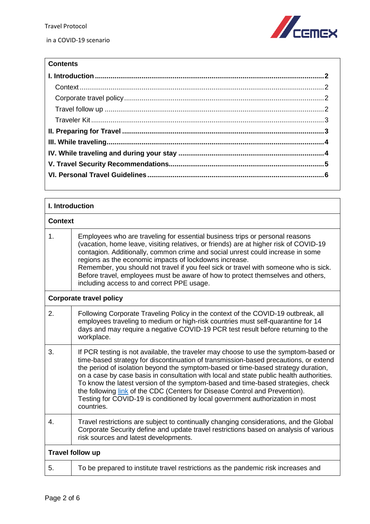

## **Contents**

<span id="page-1-3"></span><span id="page-1-2"></span><span id="page-1-1"></span><span id="page-1-0"></span>

| I. Introduction                |                                                                                                                                                                                                                                                                                                                                                                                                                                                                                                                                                                                                                                |  |
|--------------------------------|--------------------------------------------------------------------------------------------------------------------------------------------------------------------------------------------------------------------------------------------------------------------------------------------------------------------------------------------------------------------------------------------------------------------------------------------------------------------------------------------------------------------------------------------------------------------------------------------------------------------------------|--|
|                                | <b>Context</b>                                                                                                                                                                                                                                                                                                                                                                                                                                                                                                                                                                                                                 |  |
| 1.                             | Employees who are traveling for essential business trips or personal reasons<br>(vacation, home leave, visiting relatives, or friends) are at higher risk of COVID-19<br>contagion. Additionally, common crime and social unrest could increase in some<br>regions as the economic impacts of lockdowns increase.<br>Remember, you should not travel if you feel sick or travel with someone who is sick.<br>Before travel, employees must be aware of how to protect themselves and others,<br>including access to and correct PPE usage.                                                                                     |  |
| <b>Corporate travel policy</b> |                                                                                                                                                                                                                                                                                                                                                                                                                                                                                                                                                                                                                                |  |
| 2.                             | Following Corporate Traveling Policy in the context of the COVID-19 outbreak, all<br>employees traveling to medium or high-risk countries must self-quarantine for 14<br>days and may require a negative COVID-19 PCR test result before returning to the<br>workplace.                                                                                                                                                                                                                                                                                                                                                        |  |
| 3.                             | If PCR testing is not available, the traveler may choose to use the symptom-based or<br>time-based strategy for discontinuation of transmission-based precautions, or extend<br>the period of isolation beyond the symptom-based or time-based strategy duration,<br>on a case by case basis in consultation with local and state public health authorities.<br>To know the latest version of the symptom-based and time-based strategies, check<br>the following link of the CDC (Centers for Disease Control and Prevention).<br>Testing for COVID-19 is conditioned by local government authorization in most<br>countries. |  |
| 4.                             | Travel restrictions are subject to continually changing considerations, and the Global<br>Corporate Security define and update travel restrictions based on analysis of various<br>risk sources and latest developments.                                                                                                                                                                                                                                                                                                                                                                                                       |  |
|                                | Travel follow up                                                                                                                                                                                                                                                                                                                                                                                                                                                                                                                                                                                                               |  |
| 5.                             | To be prepared to institute travel restrictions as the pandemic risk increases and                                                                                                                                                                                                                                                                                                                                                                                                                                                                                                                                             |  |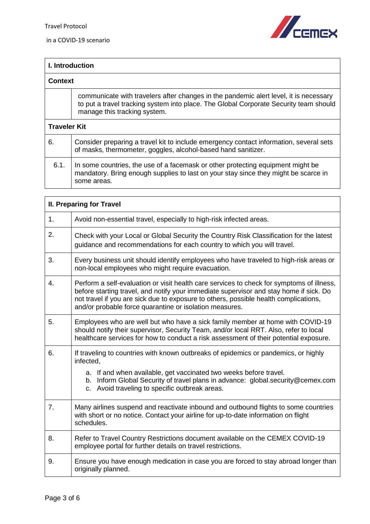in a COVID-19 scenario



<span id="page-2-0"></span>

| I. Introduction     |                                                                                                                                                                                                                |
|---------------------|----------------------------------------------------------------------------------------------------------------------------------------------------------------------------------------------------------------|
| <b>Context</b>      |                                                                                                                                                                                                                |
|                     | communicate with travelers after changes in the pandemic alert level, it is necessary<br>to put a travel tracking system into place. The Global Corporate Security team should<br>manage this tracking system. |
| <b>Traveler Kit</b> |                                                                                                                                                                                                                |
| 6.                  | Consider preparing a travel kit to include emergency contact information, several sets<br>of masks, thermometer, goggles, alcohol-based hand sanitizer.                                                        |
| 6.1.                | In some countries, the use of a facemask or other protecting equipment might be<br>mandatory. Bring enough supplies to last on your stay since they might be scarce in<br>some areas.                          |

<span id="page-2-1"></span>

| <b>II. Preparing for Travel</b> |                                                                                                                                                                                                                                                                                                                                        |
|---------------------------------|----------------------------------------------------------------------------------------------------------------------------------------------------------------------------------------------------------------------------------------------------------------------------------------------------------------------------------------|
| 1 <sub>1</sub>                  | Avoid non-essential travel, especially to high-risk infected areas.                                                                                                                                                                                                                                                                    |
| 2.                              | Check with your Local or Global Security the Country Risk Classification for the latest<br>guidance and recommendations for each country to which you will travel.                                                                                                                                                                     |
| 3.                              | Every business unit should identify employees who have traveled to high-risk areas or<br>non-local employees who might require evacuation.                                                                                                                                                                                             |
| 4.                              | Perform a self-evaluation or visit health care services to check for symptoms of illness,<br>before starting travel, and notify your immediate supervisor and stay home if sick. Do<br>not travel if you are sick due to exposure to others, possible health complications,<br>and/or probable force quarantine or isolation measures. |
| 5.                              | Employees who are well but who have a sick family member at home with COVID-19<br>should notify their supervisor, Security Team, and/or local RRT. Also, refer to local<br>healthcare services for how to conduct a risk assessment of their potential exposure.                                                                       |
| 6.                              | If traveling to countries with known outbreaks of epidemics or pandemics, or highly<br>infected,                                                                                                                                                                                                                                       |
|                                 | a. If and when available, get vaccinated two weeks before travel.<br>b. Inform Global Security of travel plans in advance: global.security@cemex.com<br>c. Avoid traveling to specific outbreak areas.                                                                                                                                 |
| 7.                              | Many airlines suspend and reactivate inbound and outbound flights to some countries<br>with short or no notice. Contact your airline for up-to-date information on flight<br>schedules.                                                                                                                                                |
| 8.                              | Refer to Travel Country Restrictions document available on the CEMEX COVID-19<br>employee portal for further details on travel restrictions.                                                                                                                                                                                           |
| 9.                              | Ensure you have enough medication in case you are forced to stay abroad longer than<br>originally planned.                                                                                                                                                                                                                             |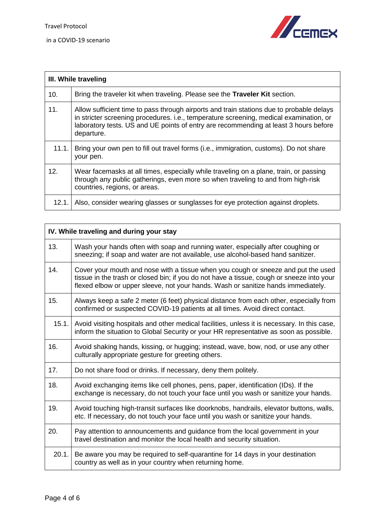

<span id="page-3-0"></span>

| III. While traveling |                                                                                                                                                                                                                                                                                          |
|----------------------|------------------------------------------------------------------------------------------------------------------------------------------------------------------------------------------------------------------------------------------------------------------------------------------|
| 10.                  | Bring the traveler kit when traveling. Please see the Traveler Kit section.                                                                                                                                                                                                              |
| 11.                  | Allow sufficient time to pass through airports and train stations due to probable delays<br>in stricter screening procedures. i.e., temperature screening, medical examination, or<br>laboratory tests. US and UE points of entry are recommending at least 3 hours before<br>departure. |
| 11.1.                | Bring your own pen to fill out travel forms (i.e., immigration, customs). Do not share<br>your pen.                                                                                                                                                                                      |
| 12.                  | Wear facemasks at all times, especially while traveling on a plane, train, or passing<br>through any public gatherings, even more so when traveling to and from high-risk<br>countries, regions, or areas.                                                                               |
| 12.1.                | Also, consider wearing glasses or sunglasses for eye protection against droplets.                                                                                                                                                                                                        |

<span id="page-3-1"></span>

| IV. While traveling and during your stay |                                                                                                                                                                                                                                                                     |
|------------------------------------------|---------------------------------------------------------------------------------------------------------------------------------------------------------------------------------------------------------------------------------------------------------------------|
| 13.                                      | Wash your hands often with soap and running water, especially after coughing or<br>sneezing; if soap and water are not available, use alcohol-based hand sanitizer.                                                                                                 |
| 14.                                      | Cover your mouth and nose with a tissue when you cough or sneeze and put the used<br>tissue in the trash or closed bin; if you do not have a tissue, cough or sneeze into your<br>flexed elbow or upper sleeve, not your hands. Wash or sanitize hands immediately. |
| 15.                                      | Always keep a safe 2 meter (6 feet) physical distance from each other, especially from<br>confirmed or suspected COVID-19 patients at all times. Avoid direct contact.                                                                                              |
| 15.1.                                    | Avoid visiting hospitals and other medical facilities, unless it is necessary. In this case,<br>inform the situation to Global Security or your HR representative as soon as possible.                                                                              |
| 16.                                      | Avoid shaking hands, kissing, or hugging; instead, wave, bow, nod, or use any other<br>culturally appropriate gesture for greeting others.                                                                                                                          |
| 17.                                      | Do not share food or drinks. If necessary, deny them politely.                                                                                                                                                                                                      |
| 18.                                      | Avoid exchanging items like cell phones, pens, paper, identification (IDs). If the<br>exchange is necessary, do not touch your face until you wash or sanitize your hands.                                                                                          |
| 19.                                      | Avoid touching high-transit surfaces like doorknobs, handrails, elevator buttons, walls,<br>etc. If necessary, do not touch your face until you wash or sanitize your hands.                                                                                        |
| 20.                                      | Pay attention to announcements and guidance from the local government in your<br>travel destination and monitor the local health and security situation.                                                                                                            |
| 20.1.                                    | Be aware you may be required to self-quarantine for 14 days in your destination<br>country as well as in your country when returning home.                                                                                                                          |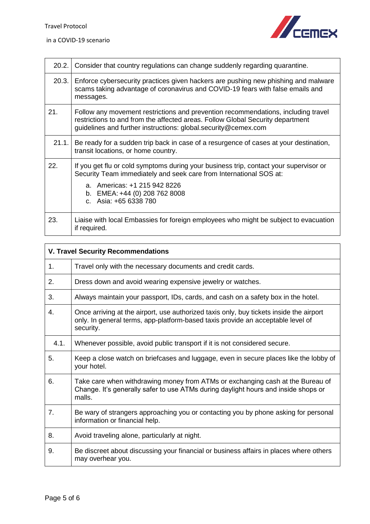$\overline{\phantom{a}}$ 



| 20.2. | Consider that country regulations can change suddenly regarding quarantine.                                                                                                                                                                           |
|-------|-------------------------------------------------------------------------------------------------------------------------------------------------------------------------------------------------------------------------------------------------------|
| 20.3. | Enforce cybersecurity practices given hackers are pushing new phishing and malware<br>scams taking advantage of coronavirus and COVID-19 fears with false emails and<br>messages.                                                                     |
| 21.   | Follow any movement restrictions and prevention recommendations, including travel<br>restrictions to and from the affected areas. Follow Global Security department<br>guidelines and further instructions: global.security@cemex.com                 |
| 21.1. | Be ready for a sudden trip back in case of a resurgence of cases at your destination,<br>transit locations, or home country.                                                                                                                          |
| 22.   | If you get flu or cold symptoms during your business trip, contact your supervisor or<br>Security Team immediately and seek care from International SOS at:<br>a. Americas: +1 215 942 8226<br>b. EMEA: +44 (0) 208 762 8008<br>c. Asia: +65 6338 780 |
| 23.   | Liaise with local Embassies for foreign employees who might be subject to evacuation<br>if required.                                                                                                                                                  |

<span id="page-4-0"></span>

| <b>V. Travel Security Recommendations</b> |                                                                                                                                                                                         |
|-------------------------------------------|-----------------------------------------------------------------------------------------------------------------------------------------------------------------------------------------|
| 1.                                        | Travel only with the necessary documents and credit cards.                                                                                                                              |
| 2.                                        | Dress down and avoid wearing expensive jewelry or watches.                                                                                                                              |
| 3.                                        | Always maintain your passport, IDs, cards, and cash on a safety box in the hotel.                                                                                                       |
| 4.                                        | Once arriving at the airport, use authorized taxis only, buy tickets inside the airport<br>only. In general terms, app-platform-based taxis provide an acceptable level of<br>security. |
| 4.1.                                      | Whenever possible, avoid public transport if it is not considered secure.                                                                                                               |
| 5.                                        | Keep a close watch on briefcases and luggage, even in secure places like the lobby of<br>your hotel.                                                                                    |
| 6.                                        | Take care when withdrawing money from ATMs or exchanging cash at the Bureau of<br>Change. It's generally safer to use ATMs during daylight hours and inside shops or<br>malls.          |
| 7.                                        | Be wary of strangers approaching you or contacting you by phone asking for personal<br>information or financial help.                                                                   |
| 8.                                        | Avoid traveling alone, particularly at night.                                                                                                                                           |
| 9.                                        | Be discreet about discussing your financial or business affairs in places where others<br>may overhear you.                                                                             |